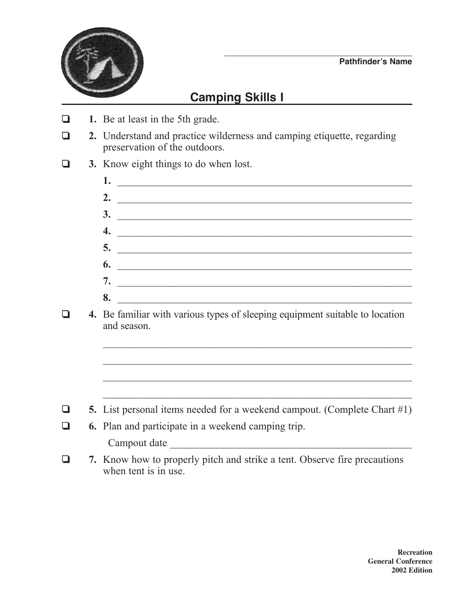

## **Camping skills I**

- ❏ **1.** Be at least in the 5th grade.
- ❏ **2.** Understand and practice wilderness and camping etiquette, regarding preservation of the outdoors.
- ❏ **3.** Know eight things to do when lost.
	- **1.** \_\_\_\_\_\_\_\_\_\_\_\_\_\_\_\_\_\_\_\_\_\_\_\_\_\_\_\_\_\_\_\_\_\_\_\_\_\_\_\_\_\_\_\_\_\_\_\_\_\_\_\_\_\_\_\_ **2.** \_\_\_\_\_\_\_\_\_\_\_\_\_\_\_\_\_\_\_\_\_\_\_\_\_\_\_\_\_\_\_\_\_\_\_\_\_\_\_\_\_\_\_\_\_\_\_\_\_\_\_\_\_\_\_\_ **3.** \_\_\_\_\_\_\_\_\_\_\_\_\_\_\_\_\_\_\_\_\_\_\_\_\_\_\_\_\_\_\_\_\_\_\_\_\_\_\_\_\_\_\_\_\_\_\_\_\_\_\_\_\_\_\_\_ **4.** \_\_\_\_\_\_\_\_\_\_\_\_\_\_\_\_\_\_\_\_\_\_\_\_\_\_\_\_\_\_\_\_\_\_\_\_\_\_\_\_\_\_\_\_\_\_\_\_\_\_\_\_\_\_\_\_ **5.** \_\_\_\_\_\_\_\_\_\_\_\_\_\_\_\_\_\_\_\_\_\_\_\_\_\_\_\_\_\_\_\_\_\_\_\_\_\_\_\_\_\_\_\_\_\_\_\_\_\_\_\_\_\_\_\_ **6.** \_\_\_\_\_\_\_\_\_\_\_\_\_\_\_\_\_\_\_\_\_\_\_\_\_\_\_\_\_\_\_\_\_\_\_\_\_\_\_\_\_\_\_\_\_\_\_\_\_\_\_\_\_\_\_\_ **7.** \_\_\_\_\_\_\_\_\_\_\_\_\_\_\_\_\_\_\_\_\_\_\_\_\_\_\_\_\_\_\_\_\_\_\_\_\_\_\_\_\_\_\_\_\_\_\_\_\_\_\_\_\_\_\_\_ **8.** \_\_\_\_\_\_\_\_\_\_\_\_\_\_\_\_\_\_\_\_\_\_\_\_\_\_\_\_\_\_\_\_\_\_\_\_\_\_\_\_\_\_\_\_\_\_\_\_\_\_\_\_\_\_\_\_

 $\mathcal{L}_\text{max}$  , and the contract of the contract of the contract of the contract of the contract of the contract of the contract of the contract of the contract of the contract of the contract of the contract of the contr

 $\mathcal{L}_\text{max}$  and the contract of the contract of the contract of the contract of the contract of the contract of

❏ **4.** Be familiar with various types of sleeping equipment suitable to location and season.

- ❏ **5.** List personal items needed for a weekend campout. (Complete Chart #1)
- ❏ **6.** Plan and participate in a weekend camping trip. Campout date  $\blacksquare$
- ❏ **7.** Know how to properly pitch and strike a tent. Observe fire precautions when tent is in use.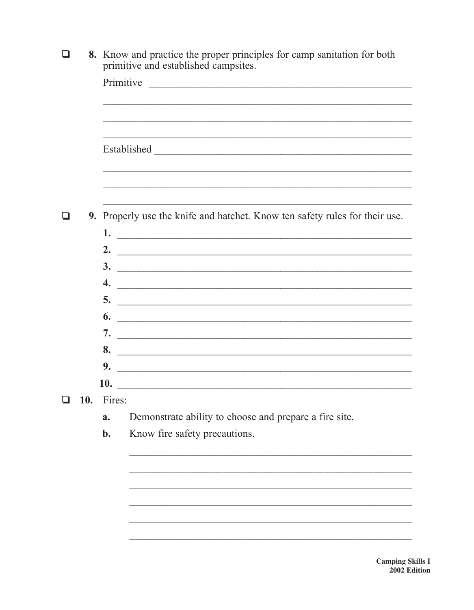|  |     | 8. Know and practice the proper principles for camp sanitation for both<br>primitive and established campsites. |  |  |
|--|-----|-----------------------------------------------------------------------------------------------------------------|--|--|
|  |     |                                                                                                                 |  |  |
|  |     |                                                                                                                 |  |  |
|  |     |                                                                                                                 |  |  |
|  |     |                                                                                                                 |  |  |
|  |     |                                                                                                                 |  |  |
|  |     | 9. Properly use the knife and hatchet. Know ten safety rules for their use.                                     |  |  |
|  |     |                                                                                                                 |  |  |
|  |     |                                                                                                                 |  |  |
|  |     | $\frac{3}{2}$                                                                                                   |  |  |
|  |     | $\overline{4.}$                                                                                                 |  |  |
|  |     | $\overline{\phantom{a}}$                                                                                        |  |  |
|  |     | $\overline{\phantom{a}}$ 6.                                                                                     |  |  |
|  |     |                                                                                                                 |  |  |
|  |     | 8.                                                                                                              |  |  |
|  |     | 9.                                                                                                              |  |  |
|  |     | 10.                                                                                                             |  |  |
|  | 10. | Fires:                                                                                                          |  |  |
|  |     | Demonstrate ability to choose and prepare a fire site.<br>a.                                                    |  |  |
|  |     | Know fire safety precautions.<br>$b$ .                                                                          |  |  |
|  |     |                                                                                                                 |  |  |
|  |     |                                                                                                                 |  |  |
|  |     |                                                                                                                 |  |  |
|  |     |                                                                                                                 |  |  |
|  |     |                                                                                                                 |  |  |

**Camping Skills I** 2002 Edition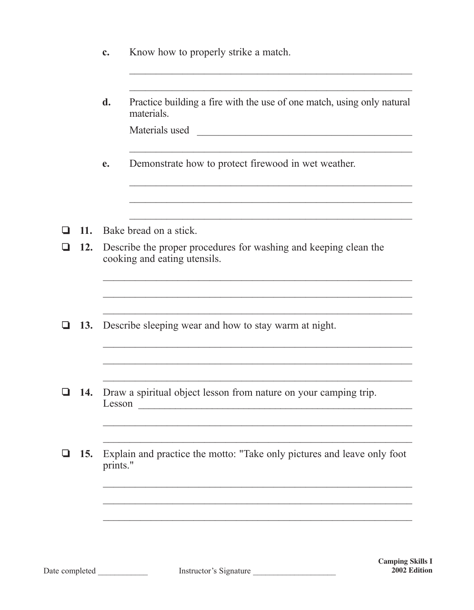|        |            | c.                                                                                                                                         | Know how to properly strike a match.                                                                   |  |  |
|--------|------------|--------------------------------------------------------------------------------------------------------------------------------------------|--------------------------------------------------------------------------------------------------------|--|--|
|        |            | d.                                                                                                                                         | Practice building a fire with the use of one match, using only natural<br>materials.<br>Materials used |  |  |
|        |            | e.                                                                                                                                         | Demonstrate how to protect firewood in wet weather.                                                    |  |  |
|        | 11.        |                                                                                                                                            | Bake bread on a stick.                                                                                 |  |  |
|        | 12.        | Describe the proper procedures for washing and keeping clean the<br>cooking and eating utensils.                                           |                                                                                                        |  |  |
|        | 13.        |                                                                                                                                            | Describe sleeping wear and how to stay warm at night.                                                  |  |  |
|        |            |                                                                                                                                            |                                                                                                        |  |  |
| $\Box$ | 14.        | Draw a spiritual object lesson from nature on your camping trip.<br>Lesson<br><u> 1980 - Jan Barnett, margaret eta idazlear (h. 1980).</u> |                                                                                                        |  |  |
|        | <b>15.</b> | prints."                                                                                                                                   | Explain and practice the motto: "Take only pictures and leave only foot                                |  |  |
|        |            |                                                                                                                                            |                                                                                                        |  |  |
|        |            |                                                                                                                                            |                                                                                                        |  |  |